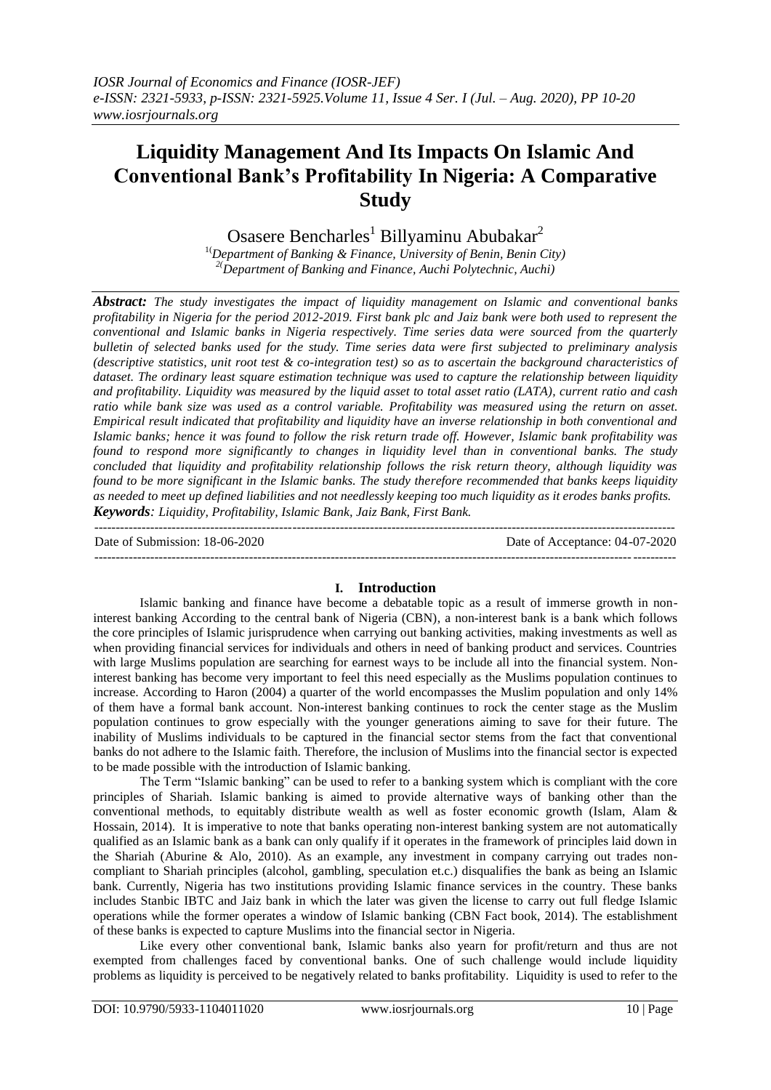# **Liquidity Management And Its Impacts On Islamic And Conventional Bank's Profitability In Nigeria: A Comparative Study**

Osasere Bencharles<sup>1</sup> Billyaminu Abubakar<sup>2</sup>

1(*Department of Banking & Finance, University of Benin, Benin City) 2(Department of Banking and Finance, Auchi Polytechnic, Auchi)*

*Abstract: The study investigates the impact of liquidity management on Islamic and conventional banks profitability in Nigeria for the period 2012-2019. First bank plc and Jaiz bank were both used to represent the conventional and Islamic banks in Nigeria respectively. Time series data were sourced from the quarterly bulletin of selected banks used for the study. Time series data were first subjected to preliminary analysis (descriptive statistics, unit root test & co-integration test) so as to ascertain the background characteristics of dataset. The ordinary least square estimation technique was used to capture the relationship between liquidity and profitability. Liquidity was measured by the liquid asset to total asset ratio (LATA), current ratio and cash ratio while bank size was used as a control variable. Profitability was measured using the return on asset. Empirical result indicated that profitability and liquidity have an inverse relationship in both conventional and Islamic banks; hence it was found to follow the risk return trade off. However, Islamic bank profitability was found to respond more significantly to changes in liquidity level than in conventional banks. The study concluded that liquidity and profitability relationship follows the risk return theory, although liquidity was found to be more significant in the Islamic banks. The study therefore recommended that banks keeps liquidity as needed to meet up defined liabilities and not needlessly keeping too much liquidity as it erodes banks profits. Keywords: Liquidity, Profitability, Islamic Bank, Jaiz Bank, First Bank.*

--------------------------------------------------------------------------------------------------------------------------------------- Date of Submission: 18-06-2020 Date of Acceptance: 04-07-2020 ---------------------------------------------------------------------------------------------------------------------------------------

#### **I. Introduction**

Islamic banking and finance have become a debatable topic as a result of immerse growth in noninterest banking According to the central bank of Nigeria (CBN), a non-interest bank is a bank which follows the core principles of Islamic jurisprudence when carrying out banking activities, making investments as well as when providing financial services for individuals and others in need of banking product and services. Countries with large Muslims population are searching for earnest ways to be include all into the financial system. Noninterest banking has become very important to feel this need especially as the Muslims population continues to increase. According to Haron (2004) a quarter of the world encompasses the Muslim population and only 14% of them have a formal bank account. Non-interest banking continues to rock the center stage as the Muslim population continues to grow especially with the younger generations aiming to save for their future. The inability of Muslims individuals to be captured in the financial sector stems from the fact that conventional banks do not adhere to the Islamic faith. Therefore, the inclusion of Muslims into the financial sector is expected to be made possible with the introduction of Islamic banking.

The Term "Islamic banking" can be used to refer to a banking system which is compliant with the core principles of Shariah. Islamic banking is aimed to provide alternative ways of banking other than the conventional methods, to equitably distribute wealth as well as foster economic growth (Islam, Alam & Hossain, 2014). It is imperative to note that banks operating non-interest banking system are not automatically qualified as an Islamic bank as a bank can only qualify if it operates in the framework of principles laid down in the Shariah (Aburine & Alo, 2010). As an example, any investment in company carrying out trades noncompliant to Shariah principles (alcohol, gambling, speculation et.c.) disqualifies the bank as being an Islamic bank. Currently, Nigeria has two institutions providing Islamic finance services in the country. These banks includes Stanbic IBTC and Jaiz bank in which the later was given the license to carry out full fledge Islamic operations while the former operates a window of Islamic banking (CBN Fact book, 2014). The establishment of these banks is expected to capture Muslims into the financial sector in Nigeria.

Like every other conventional bank, Islamic banks also yearn for profit/return and thus are not exempted from challenges faced by conventional banks. One of such challenge would include liquidity problems as liquidity is perceived to be negatively related to banks profitability. Liquidity is used to refer to the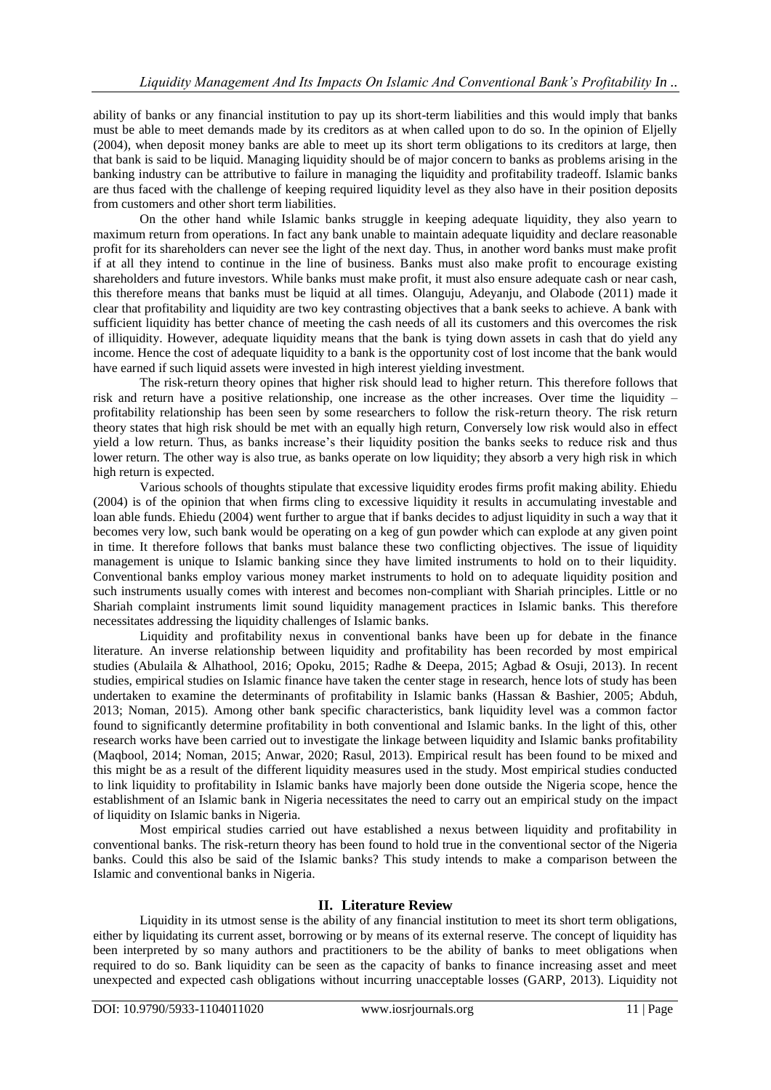ability of banks or any financial institution to pay up its short-term liabilities and this would imply that banks must be able to meet demands made by its creditors as at when called upon to do so. In the opinion of Eljelly (2004), when deposit money banks are able to meet up its short term obligations to its creditors at large, then that bank is said to be liquid. Managing liquidity should be of major concern to banks as problems arising in the banking industry can be attributive to failure in managing the liquidity and profitability tradeoff. Islamic banks are thus faced with the challenge of keeping required liquidity level as they also have in their position deposits from customers and other short term liabilities.

On the other hand while Islamic banks struggle in keeping adequate liquidity, they also yearn to maximum return from operations. In fact any bank unable to maintain adequate liquidity and declare reasonable profit for its shareholders can never see the light of the next day. Thus, in another word banks must make profit if at all they intend to continue in the line of business. Banks must also make profit to encourage existing shareholders and future investors. While banks must make profit, it must also ensure adequate cash or near cash, this therefore means that banks must be liquid at all times. Olanguju, Adeyanju, and Olabode (2011) made it clear that profitability and liquidity are two key contrasting objectives that a bank seeks to achieve. A bank with sufficient liquidity has better chance of meeting the cash needs of all its customers and this overcomes the risk of illiquidity. However, adequate liquidity means that the bank is tying down assets in cash that do yield any income. Hence the cost of adequate liquidity to a bank is the opportunity cost of lost income that the bank would have earned if such liquid assets were invested in high interest yielding investment.

The risk-return theory opines that higher risk should lead to higher return. This therefore follows that risk and return have a positive relationship, one increase as the other increases. Over time the liquidity – profitability relationship has been seen by some researchers to follow the risk-return theory. The risk return theory states that high risk should be met with an equally high return, Conversely low risk would also in effect yield a low return. Thus, as banks increase's their liquidity position the banks seeks to reduce risk and thus lower return. The other way is also true, as banks operate on low liquidity; they absorb a very high risk in which high return is expected.

Various schools of thoughts stipulate that excessive liquidity erodes firms profit making ability. Ehiedu (2004) is of the opinion that when firms cling to excessive liquidity it results in accumulating investable and loan able funds. Ehiedu (2004) went further to argue that if banks decides to adjust liquidity in such a way that it becomes very low, such bank would be operating on a keg of gun powder which can explode at any given point in time. It therefore follows that banks must balance these two conflicting objectives. The issue of liquidity management is unique to Islamic banking since they have limited instruments to hold on to their liquidity. Conventional banks employ various money market instruments to hold on to adequate liquidity position and such instruments usually comes with interest and becomes non-compliant with Shariah principles. Little or no Shariah complaint instruments limit sound liquidity management practices in Islamic banks. This therefore necessitates addressing the liquidity challenges of Islamic banks.

Liquidity and profitability nexus in conventional banks have been up for debate in the finance literature. An inverse relationship between liquidity and profitability has been recorded by most empirical studies (Abulaila & Alhathool, 2016; Opoku, 2015; Radhe & Deepa, 2015; Agbad & Osuji, 2013). In recent studies, empirical studies on Islamic finance have taken the center stage in research, hence lots of study has been undertaken to examine the determinants of profitability in Islamic banks (Hassan & Bashier, 2005; Abduh, 2013; Noman, 2015). Among other bank specific characteristics, bank liquidity level was a common factor found to significantly determine profitability in both conventional and Islamic banks. In the light of this, other research works have been carried out to investigate the linkage between liquidity and Islamic banks profitability (Maqbool, 2014; Noman, 2015; Anwar, 2020; Rasul, 2013). Empirical result has been found to be mixed and this might be as a result of the different liquidity measures used in the study. Most empirical studies conducted to link liquidity to profitability in Islamic banks have majorly been done outside the Nigeria scope, hence the establishment of an Islamic bank in Nigeria necessitates the need to carry out an empirical study on the impact of liquidity on Islamic banks in Nigeria.

Most empirical studies carried out have established a nexus between liquidity and profitability in conventional banks. The risk-return theory has been found to hold true in the conventional sector of the Nigeria banks. Could this also be said of the Islamic banks? This study intends to make a comparison between the Islamic and conventional banks in Nigeria.

## **II. Literature Review**

Liquidity in its utmost sense is the ability of any financial institution to meet its short term obligations, either by liquidating its current asset, borrowing or by means of its external reserve. The concept of liquidity has been interpreted by so many authors and practitioners to be the ability of banks to meet obligations when required to do so. Bank liquidity can be seen as the capacity of banks to finance increasing asset and meet unexpected and expected cash obligations without incurring unacceptable losses (GARP, 2013). Liquidity not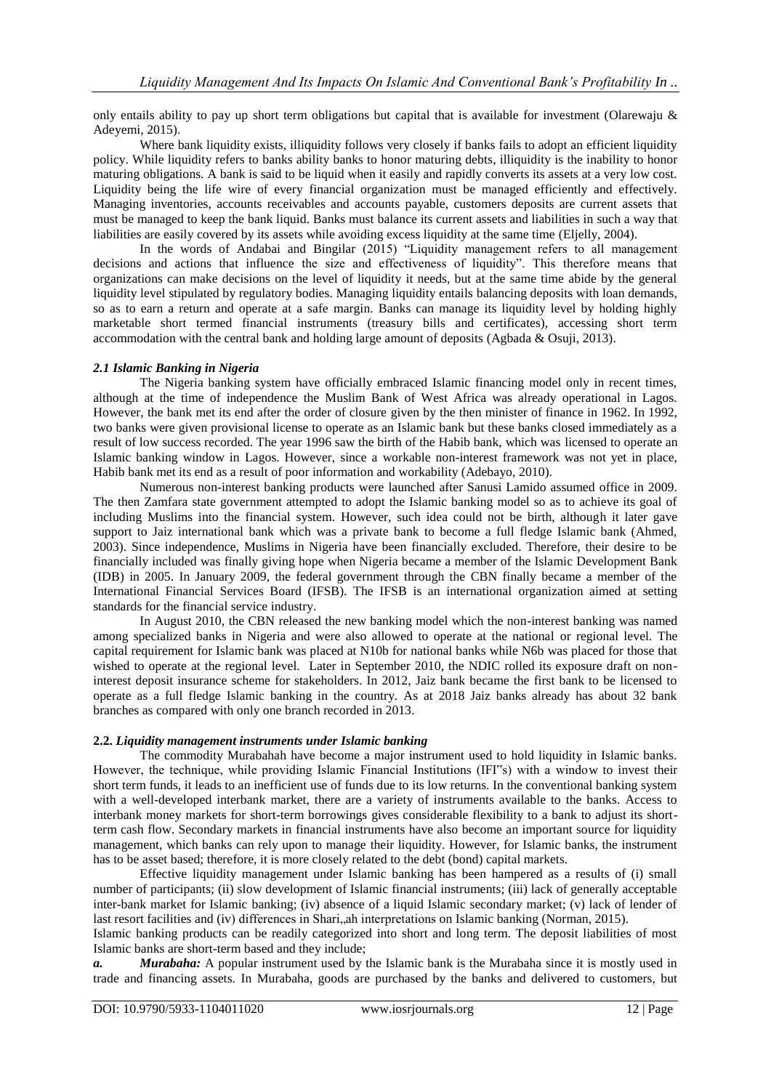only entails ability to pay up short term obligations but capital that is available for investment (Olarewaju  $\&$ Adeyemi, 2015).

Where bank liquidity exists, illiquidity follows very closely if banks fails to adopt an efficient liquidity policy. While liquidity refers to banks ability banks to honor maturing debts, illiquidity is the inability to honor maturing obligations. A bank is said to be liquid when it easily and rapidly converts its assets at a very low cost. Liquidity being the life wire of every financial organization must be managed efficiently and effectively. Managing inventories, accounts receivables and accounts payable, customers deposits are current assets that must be managed to keep the bank liquid. Banks must balance its current assets and liabilities in such a way that liabilities are easily covered by its assets while avoiding excess liquidity at the same time (Eljelly, 2004).

In the words of Andabai and Bingilar (2015) "Liquidity management refers to all management decisions and actions that influence the size and effectiveness of liquidity". This therefore means that organizations can make decisions on the level of liquidity it needs, but at the same time abide by the general liquidity level stipulated by regulatory bodies. Managing liquidity entails balancing deposits with loan demands, so as to earn a return and operate at a safe margin. Banks can manage its liquidity level by holding highly marketable short termed financial instruments (treasury bills and certificates), accessing short term accommodation with the central bank and holding large amount of deposits (Agbada & Osuji, 2013).

## *2.1 Islamic Banking in Nigeria*

The Nigeria banking system have officially embraced Islamic financing model only in recent times, although at the time of independence the Muslim Bank of West Africa was already operational in Lagos. However, the bank met its end after the order of closure given by the then minister of finance in 1962. In 1992, two banks were given provisional license to operate as an Islamic bank but these banks closed immediately as a result of low success recorded. The year 1996 saw the birth of the Habib bank, which was licensed to operate an Islamic banking window in Lagos. However, since a workable non-interest framework was not yet in place, Habib bank met its end as a result of poor information and workability (Adebayo, 2010).

Numerous non-interest banking products were launched after Sanusi Lamido assumed office in 2009. The then Zamfara state government attempted to adopt the Islamic banking model so as to achieve its goal of including Muslims into the financial system. However, such idea could not be birth, although it later gave support to Jaiz international bank which was a private bank to become a full fledge Islamic bank (Ahmed, 2003). Since independence, Muslims in Nigeria have been financially excluded. Therefore, their desire to be financially included was finally giving hope when Nigeria became a member of the Islamic Development Bank (IDB) in 2005. In January 2009, the federal government through the CBN finally became a member of the International Financial Services Board (IFSB). The IFSB is an international organization aimed at setting standards for the financial service industry.

In August 2010, the CBN released the new banking model which the non-interest banking was named among specialized banks in Nigeria and were also allowed to operate at the national or regional level. The capital requirement for Islamic bank was placed at N10b for national banks while N6b was placed for those that wished to operate at the regional level. Later in September 2010, the NDIC rolled its exposure draft on noninterest deposit insurance scheme for stakeholders. In 2012, Jaiz bank became the first bank to be licensed to operate as a full fledge Islamic banking in the country. As at 2018 Jaiz banks already has about 32 bank branches as compared with only one branch recorded in 2013.

#### **2.2.** *Liquidity management instruments under Islamic banking*

The commodity Murabahah have become a major instrument used to hold liquidity in Islamic banks. However, the technique, while providing Islamic Financial Institutions (IFI"s) with a window to invest their short term funds, it leads to an inefficient use of funds due to its low returns. In the conventional banking system with a well-developed interbank market, there are a variety of instruments available to the banks. Access to interbank money markets for short-term borrowings gives considerable flexibility to a bank to adjust its shortterm cash flow. Secondary markets in financial instruments have also become an important source for liquidity management, which banks can rely upon to manage their liquidity. However, for Islamic banks, the instrument has to be asset based; therefore, it is more closely related to the debt (bond) capital markets.

Effective liquidity management under Islamic banking has been hampered as a results of (i) small number of participants; (ii) slow development of Islamic financial instruments; (iii) lack of generally acceptable inter-bank market for Islamic banking; (iv) absence of a liquid Islamic secondary market; (v) lack of lender of last resort facilities and (iv) differences in Shari, ah interpretations on Islamic banking (Norman, 2015).

Islamic banking products can be readily categorized into short and long term. The deposit liabilities of most Islamic banks are short-term based and they include;

*a. Murabaha:* A popular instrument used by the Islamic bank is the Murabaha since it is mostly used in trade and financing assets. In Murabaha, goods are purchased by the banks and delivered to customers, but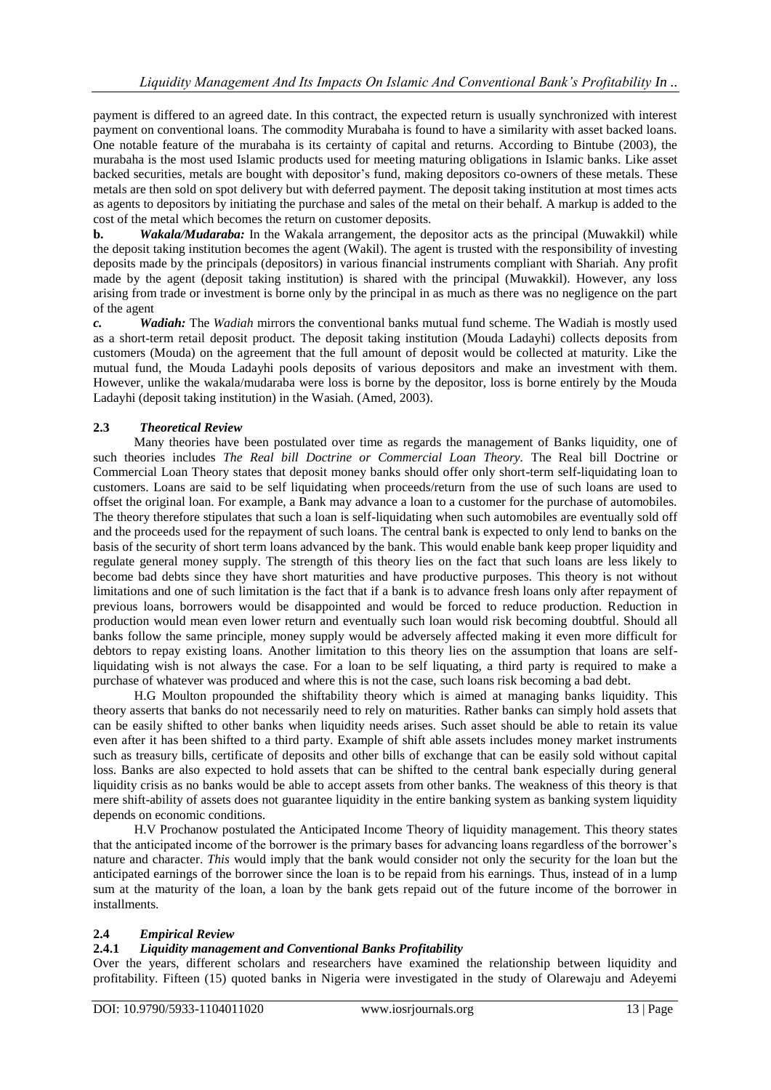payment is differed to an agreed date. In this contract, the expected return is usually synchronized with interest payment on conventional loans. The commodity Murabaha is found to have a similarity with asset backed loans. One notable feature of the murabaha is its certainty of capital and returns. According to Bintube (2003), the murabaha is the most used Islamic products used for meeting maturing obligations in Islamic banks. Like asset backed securities, metals are bought with depositor's fund, making depositors co-owners of these metals. These metals are then sold on spot delivery but with deferred payment. The deposit taking institution at most times acts as agents to depositors by initiating the purchase and sales of the metal on their behalf. A markup is added to the cost of the metal which becomes the return on customer deposits.

**b.** *Wakala/Mudaraba:* In the Wakala arrangement, the depositor acts as the principal (Muwakkil) while the deposit taking institution becomes the agent (Wakil). The agent is trusted with the responsibility of investing deposits made by the principals (depositors) in various financial instruments compliant with Shariah. Any profit made by the agent (deposit taking institution) is shared with the principal (Muwakkil). However, any loss arising from trade or investment is borne only by the principal in as much as there was no negligence on the part of the agent

*c. Wadiah:* The *Wadiah* mirrors the conventional banks mutual fund scheme. The Wadiah is mostly used as a short-term retail deposit product. The deposit taking institution (Mouda Ladayhi) collects deposits from customers (Mouda) on the agreement that the full amount of deposit would be collected at maturity. Like the mutual fund, the Mouda Ladayhi pools deposits of various depositors and make an investment with them. However, unlike the wakala/mudaraba were loss is borne by the depositor, loss is borne entirely by the Mouda Ladayhi (deposit taking institution) in the Wasiah. (Amed, 2003).

## **2.3** *Theoretical Review*

Many theories have been postulated over time as regards the management of Banks liquidity, one of such theories includes *The Real bill Doctrine or Commercial Loan Theory.* The Real bill Doctrine or Commercial Loan Theory states that deposit money banks should offer only short-term self-liquidating loan to customers. Loans are said to be self liquidating when proceeds/return from the use of such loans are used to offset the original loan. For example, a Bank may advance a loan to a customer for the purchase of automobiles. The theory therefore stipulates that such a loan is self-liquidating when such automobiles are eventually sold off and the proceeds used for the repayment of such loans. The central bank is expected to only lend to banks on the basis of the security of short term loans advanced by the bank. This would enable bank keep proper liquidity and regulate general money supply. The strength of this theory lies on the fact that such loans are less likely to become bad debts since they have short maturities and have productive purposes. This theory is not without limitations and one of such limitation is the fact that if a bank is to advance fresh loans only after repayment of previous loans, borrowers would be disappointed and would be forced to reduce production. Reduction in production would mean even lower return and eventually such loan would risk becoming doubtful. Should all banks follow the same principle, money supply would be adversely affected making it even more difficult for debtors to repay existing loans. Another limitation to this theory lies on the assumption that loans are selfliquidating wish is not always the case. For a loan to be self liquating, a third party is required to make a purchase of whatever was produced and where this is not the case, such loans risk becoming a bad debt.

H.G Moulton propounded the shiftability theory which is aimed at managing banks liquidity. This theory asserts that banks do not necessarily need to rely on maturities. Rather banks can simply hold assets that can be easily shifted to other banks when liquidity needs arises. Such asset should be able to retain its value even after it has been shifted to a third party. Example of shift able assets includes money market instruments such as treasury bills, certificate of deposits and other bills of exchange that can be easily sold without capital loss. Banks are also expected to hold assets that can be shifted to the central bank especially during general liquidity crisis as no banks would be able to accept assets from other banks. The weakness of this theory is that mere shift-ability of assets does not guarantee liquidity in the entire banking system as banking system liquidity depends on economic conditions.

H.V Prochanow postulated the Anticipated Income Theory of liquidity management. This theory states that the anticipated income of the borrower is the primary bases for advancing loans regardless of the borrower's nature and character. *This* would imply that the bank would consider not only the security for the loan but the anticipated earnings of the borrower since the loan is to be repaid from his earnings. Thus, instead of in a lump sum at the maturity of the loan, a loan by the bank gets repaid out of the future income of the borrower in installments.

## **2.4** *Empirical Review*

## **2.4.1** *Liquidity management and Conventional Banks Profitability*

Over the years, different scholars and researchers have examined the relationship between liquidity and profitability. Fifteen (15) quoted banks in Nigeria were investigated in the study of Olarewaju and Adeyemi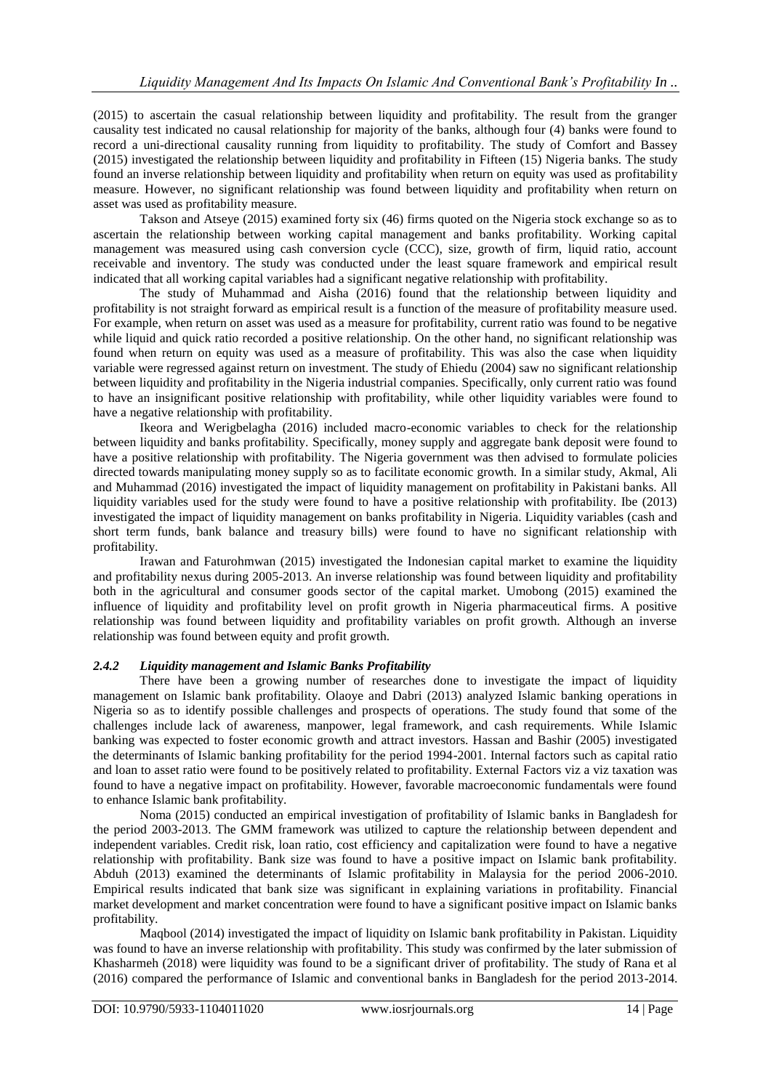(2015) to ascertain the casual relationship between liquidity and profitability. The result from the granger causality test indicated no causal relationship for majority of the banks, although four (4) banks were found to record a uni-directional causality running from liquidity to profitability. The study of Comfort and Bassey (2015) investigated the relationship between liquidity and profitability in Fifteen (15) Nigeria banks. The study found an inverse relationship between liquidity and profitability when return on equity was used as profitability measure. However, no significant relationship was found between liquidity and profitability when return on asset was used as profitability measure.

Takson and Atseye (2015) examined forty six (46) firms quoted on the Nigeria stock exchange so as to ascertain the relationship between working capital management and banks profitability. Working capital management was measured using cash conversion cycle (CCC), size, growth of firm, liquid ratio, account receivable and inventory. The study was conducted under the least square framework and empirical result indicated that all working capital variables had a significant negative relationship with profitability.

The study of Muhammad and Aisha (2016) found that the relationship between liquidity and profitability is not straight forward as empirical result is a function of the measure of profitability measure used. For example, when return on asset was used as a measure for profitability, current ratio was found to be negative while liquid and quick ratio recorded a positive relationship. On the other hand, no significant relationship was found when return on equity was used as a measure of profitability. This was also the case when liquidity variable were regressed against return on investment. The study of Ehiedu (2004) saw no significant relationship between liquidity and profitability in the Nigeria industrial companies. Specifically, only current ratio was found to have an insignificant positive relationship with profitability, while other liquidity variables were found to have a negative relationship with profitability.

Ikeora and Werigbelagha (2016) included macro-economic variables to check for the relationship between liquidity and banks profitability. Specifically, money supply and aggregate bank deposit were found to have a positive relationship with profitability. The Nigeria government was then advised to formulate policies directed towards manipulating money supply so as to facilitate economic growth. In a similar study, Akmal, Ali and Muhammad (2016) investigated the impact of liquidity management on profitability in Pakistani banks. All liquidity variables used for the study were found to have a positive relationship with profitability. Ibe (2013) investigated the impact of liquidity management on banks profitability in Nigeria. Liquidity variables (cash and short term funds, bank balance and treasury bills) were found to have no significant relationship with profitability.

Irawan and Faturohmwan (2015) investigated the Indonesian capital market to examine the liquidity and profitability nexus during 2005-2013. An inverse relationship was found between liquidity and profitability both in the agricultural and consumer goods sector of the capital market. Umobong (2015) examined the influence of liquidity and profitability level on profit growth in Nigeria pharmaceutical firms. A positive relationship was found between liquidity and profitability variables on profit growth. Although an inverse relationship was found between equity and profit growth.

## *2.4.2 Liquidity management and Islamic Banks Profitability*

There have been a growing number of researches done to investigate the impact of liquidity management on Islamic bank profitability. Olaoye and Dabri (2013) analyzed Islamic banking operations in Nigeria so as to identify possible challenges and prospects of operations. The study found that some of the challenges include lack of awareness, manpower, legal framework, and cash requirements. While Islamic banking was expected to foster economic growth and attract investors. Hassan and Bashir (2005) investigated the determinants of Islamic banking profitability for the period 1994-2001. Internal factors such as capital ratio and loan to asset ratio were found to be positively related to profitability. External Factors viz a viz taxation was found to have a negative impact on profitability. However, favorable macroeconomic fundamentals were found to enhance Islamic bank profitability.

Noma (2015) conducted an empirical investigation of profitability of Islamic banks in Bangladesh for the period 2003-2013. The GMM framework was utilized to capture the relationship between dependent and independent variables. Credit risk, loan ratio, cost efficiency and capitalization were found to have a negative relationship with profitability. Bank size was found to have a positive impact on Islamic bank profitability. Abduh (2013) examined the determinants of Islamic profitability in Malaysia for the period 2006-2010. Empirical results indicated that bank size was significant in explaining variations in profitability. Financial market development and market concentration were found to have a significant positive impact on Islamic banks profitability.

Maqbool (2014) investigated the impact of liquidity on Islamic bank profitability in Pakistan. Liquidity was found to have an inverse relationship with profitability. This study was confirmed by the later submission of Khasharmeh (2018) were liquidity was found to be a significant driver of profitability. The study of Rana et al (2016) compared the performance of Islamic and conventional banks in Bangladesh for the period 2013-2014.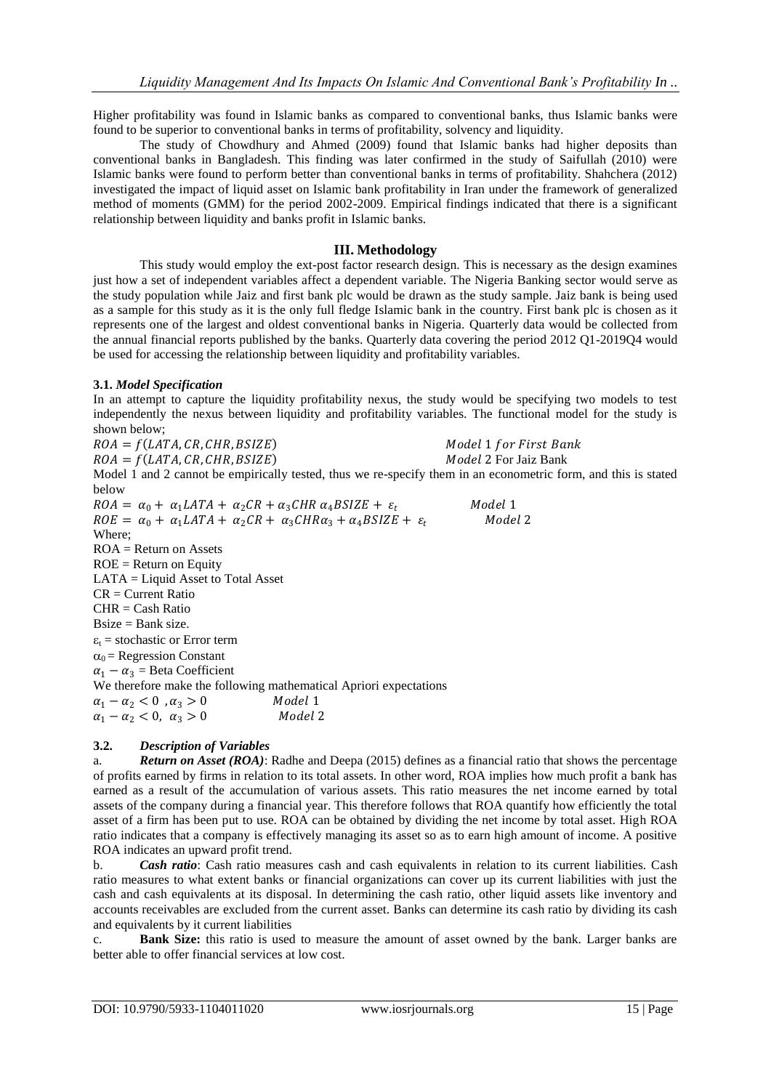Higher profitability was found in Islamic banks as compared to conventional banks, thus Islamic banks were found to be superior to conventional banks in terms of profitability, solvency and liquidity.

The study of Chowdhury and Ahmed (2009) found that Islamic banks had higher deposits than conventional banks in Bangladesh. This finding was later confirmed in the study of Saifullah (2010) were Islamic banks were found to perform better than conventional banks in terms of profitability. Shahchera (2012) investigated the impact of liquid asset on Islamic bank profitability in Iran under the framework of generalized method of moments (GMM) for the period 2002-2009. Empirical findings indicated that there is a significant relationship between liquidity and banks profit in Islamic banks.

## **III. Methodology**

This study would employ the ext-post factor research design. This is necessary as the design examines just how a set of independent variables affect a dependent variable. The Nigeria Banking sector would serve as the study population while Jaiz and first bank plc would be drawn as the study sample. Jaiz bank is being used as a sample for this study as it is the only full fledge Islamic bank in the country. First bank plc is chosen as it represents one of the largest and oldest conventional banks in Nigeria. Quarterly data would be collected from the annual financial reports published by the banks. Quarterly data covering the period 2012 Q1-2019Q4 would be used for accessing the relationship between liquidity and profitability variables.

## **3.1.** *Model Specification*

In an attempt to capture the liquidity profitability nexus, the study would be specifying two models to test independently the nexus between liquidity and profitability variables. The functional model for the study is shown below;

 $ROA = f(LATA, CR, CHR, BSIZE)$  Model 1 for First Bank  $ROA = f(LATA, CR, CHR, BSIZE)$  Model 2 For Jaiz Bank Model 1 and 2 cannot be empirically tested, thus we re-specify them in an econometric form, and this is stated below  $ROA = \alpha_0 + \alpha_1 LATA + \alpha_2 CR + \alpha_3 CHR \alpha_4 BSIZE + \varepsilon_t$  Model 1<br>  $ROE = \alpha_0 + \alpha_1 LATA + \alpha_2 CR + \alpha_3 CHR \alpha_2 + \alpha_4 BSIZE + \varepsilon_t$  Model 2  $ROE = \alpha_0 + \alpha_1 LATA + \alpha_2 CR + \alpha_3 CHR\alpha_3 + \alpha_4 BSIZE + \varepsilon_t$ Where;  $ROA = Return on Assets$  $ROE = Return$  on Equity LATA = Liquid Asset to Total Asset  $CR = Current Ratio$ CHR = Cash Ratio  $Bsize = Bank size.$  $\varepsilon_t$  = stochastic or Error term  $\alpha_0$  = Regression Constant  $\alpha_1 - \alpha_3 = \text{Beta Coefficient}$ We therefore make the following mathematical Apriori expectations  $\alpha_1 - \alpha_2 < 0$ ,  $\alpha_3 > 0$  Model 1<br>  $\alpha_1 - \alpha_2 < 0$ ,  $\alpha_3 > 0$  Model 2  $\alpha_1 - \alpha_2 < 0, \alpha_3 > 0$ 

## **3.2.** *Description of Variables*

a. *Return on Asset (ROA)*: Radhe and Deepa (2015) defines as a financial ratio that shows the percentage of profits earned by firms in relation to its total assets. In other word, ROA implies how much profit a bank has earned as a result of the accumulation of various assets. This ratio measures the net income earned by total assets of the company during a financial year. This therefore follows that ROA quantify how efficiently the total asset of a firm has been put to use. ROA can be obtained by dividing the net income by total asset. High ROA ratio indicates that a company is effectively managing its asset so as to earn high amount of income. A positive ROA indicates an upward profit trend.

b. *Cash ratio*: Cash ratio measures cash and cash equivalents in relation to its current liabilities. Cash ratio measures to what extent banks or financial organizations can cover up its current liabilities with just the cash and cash equivalents at its disposal. In determining the cash ratio, other liquid assets like inventory and accounts receivables are excluded from the current asset. Banks can determine its cash ratio by dividing its cash and equivalents by it current liabilities

c. **Bank Size:** this ratio is used to measure the amount of asset owned by the bank. Larger banks are better able to offer financial services at low cost.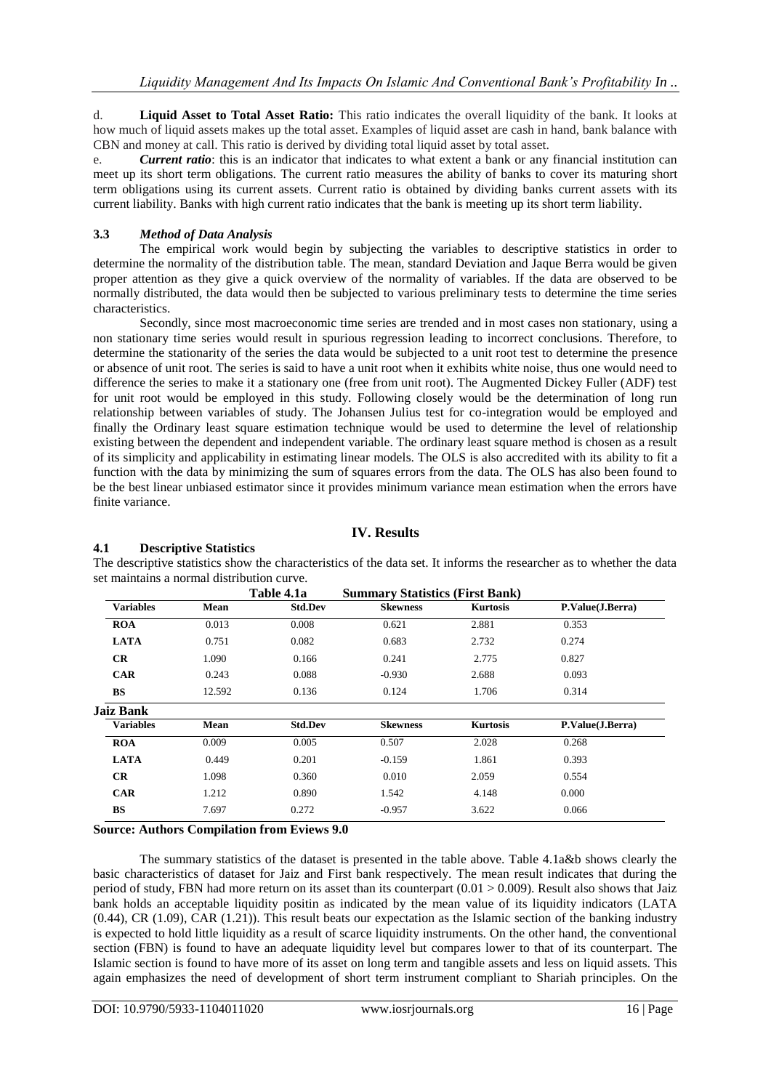d. **Liquid Asset to Total Asset Ratio:** This ratio indicates the overall liquidity of the bank. It looks at how much of liquid assets makes up the total asset. Examples of liquid asset are cash in hand, bank balance with CBN and money at call. This ratio is derived by dividing total liquid asset by total asset.

e. *Current ratio*: this is an indicator that indicates to what extent a bank or any financial institution can meet up its short term obligations. The current ratio measures the ability of banks to cover its maturing short term obligations using its current assets. Current ratio is obtained by dividing banks current assets with its current liability. Banks with high current ratio indicates that the bank is meeting up its short term liability.

## **3.3** *Method of Data Analysis*

The empirical work would begin by subjecting the variables to descriptive statistics in order to determine the normality of the distribution table. The mean, standard Deviation and Jaque Berra would be given proper attention as they give a quick overview of the normality of variables. If the data are observed to be normally distributed, the data would then be subjected to various preliminary tests to determine the time series characteristics.

Secondly, since most macroeconomic time series are trended and in most cases non stationary, using a non stationary time series would result in spurious regression leading to incorrect conclusions. Therefore, to determine the stationarity of the series the data would be subjected to a unit root test to determine the presence or absence of unit root. The series is said to have a unit root when it exhibits white noise, thus one would need to difference the series to make it a stationary one (free from unit root). The Augmented Dickey Fuller (ADF) test for unit root would be employed in this study. Following closely would be the determination of long run relationship between variables of study. The Johansen Julius test for co-integration would be employed and finally the Ordinary least square estimation technique would be used to determine the level of relationship existing between the dependent and independent variable. The ordinary least square method is chosen as a result of its simplicity and applicability in estimating linear models. The OLS is also accredited with its ability to fit a function with the data by minimizing the sum of squares errors from the data. The OLS has also been found to be the best linear unbiased estimator since it provides minimum variance mean estimation when the errors have finite variance.

## **IV. Results**

## **4.1 Descriptive Statistics**

The descriptive statistics show the characteristics of the data set. It informs the researcher as to whether the data set maintains a normal distribution curve.

|                  |             | Table 4.1a     | <b>Summary Statistics (First Bank)</b> |                 |                  |
|------------------|-------------|----------------|----------------------------------------|-----------------|------------------|
| <b>Variables</b> | <b>Mean</b> | <b>Std.Dev</b> | <b>Skewness</b>                        | <b>Kurtosis</b> | P.Value(J.Berra) |
| <b>ROA</b>       | 0.013       | 0.008          | 0.621                                  | 2.881           | 0.353            |
| <b>LATA</b>      | 0.751       | 0.082          | 0.683                                  | 2.732           | 0.274            |
| CR               | 1.090       | 0.166          | 0.241                                  | 2.775           | 0.827            |
| <b>CAR</b>       | 0.243       | 0.088          | $-0.930$                               | 2.688           | 0.093            |
| <b>BS</b>        | 12.592      | 0.136          | 0.124                                  | 1.706           | 0.314            |
| Jaiz Bank        |             |                |                                        |                 |                  |
| <b>Variables</b> | Mean        | <b>Std.Dev</b> | <b>Skewness</b>                        | <b>Kurtosis</b> | P.Value(J.Berra) |
| <b>ROA</b>       | 0.009       | 0.005          | 0.507                                  | 2.028           | 0.268            |
| <b>LATA</b>      | 0.449       | 0.201          | $-0.159$                               | 1.861           | 0.393            |
| CR               | 1.098       | 0.360          | 0.010                                  | 2.059           | 0.554            |
| <b>CAR</b>       | 1.212       | 0.890          | 1.542                                  | 4.148           | 0.000            |
| <b>BS</b>        | 7.697       | 0.272          | $-0.957$                               | 3.622           | 0.066            |
|                  |             |                |                                        |                 |                  |

## **Source: Authors Compilation from Eviews 9.0**

The summary statistics of the dataset is presented in the table above. Table 4.1a&b shows clearly the basic characteristics of dataset for Jaiz and First bank respectively. The mean result indicates that during the period of study, FBN had more return on its asset than its counterpart  $(0.01 > 0.009)$ . Result also shows that Jaiz bank holds an acceptable liquidity positin as indicated by the mean value of its liquidity indicators (LATA (0.44), CR (1.09), CAR (1.21)). This result beats our expectation as the Islamic section of the banking industry is expected to hold little liquidity as a result of scarce liquidity instruments. On the other hand, the conventional section (FBN) is found to have an adequate liquidity level but compares lower to that of its counterpart. The Islamic section is found to have more of its asset on long term and tangible assets and less on liquid assets. This again emphasizes the need of development of short term instrument compliant to Shariah principles. On the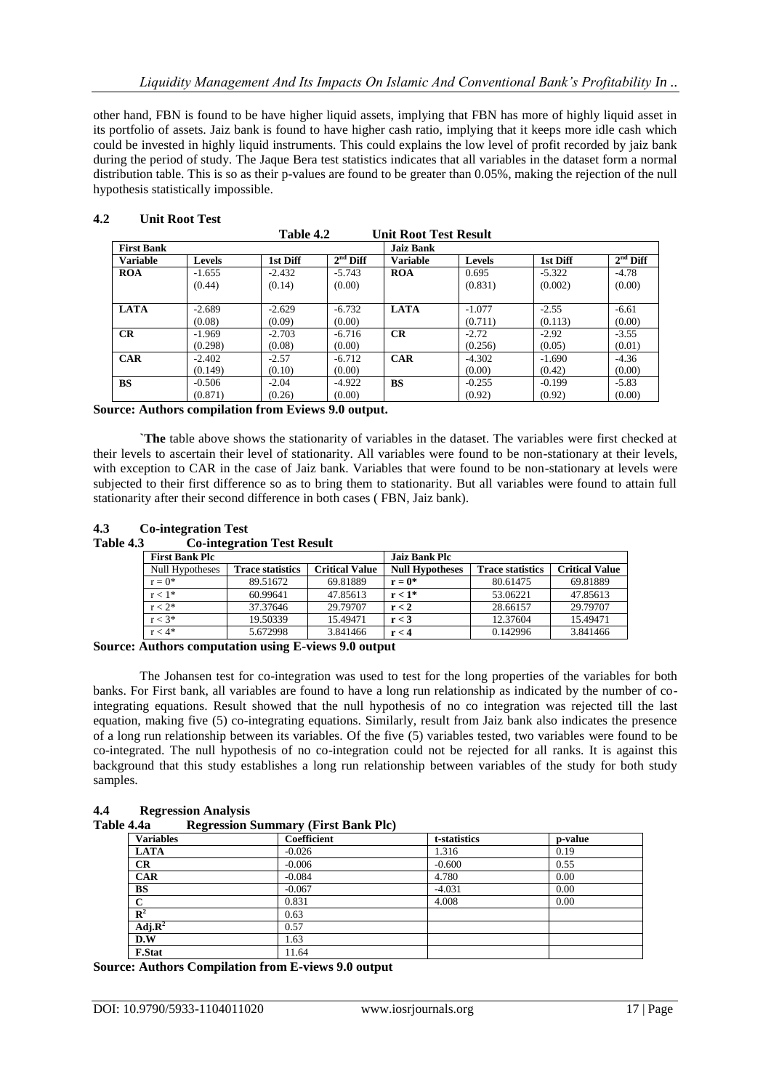other hand, FBN is found to be have higher liquid assets, implying that FBN has more of highly liquid asset in its portfolio of assets. Jaiz bank is found to have higher cash ratio, implying that it keeps more idle cash which could be invested in highly liquid instruments. This could explains the low level of profit recorded by jaiz bank during the period of study. The Jaque Bera test statistics indicates that all variables in the dataset form a normal distribution table. This is so as their p-values are found to be greater than 0.05%, making the rejection of the null hypothesis statistically impossible.

| Table 4.2<br><b>Unit Root Test Result</b> |               |          |            |                  |               |          |            |
|-------------------------------------------|---------------|----------|------------|------------------|---------------|----------|------------|
| <b>First Bank</b>                         |               |          |            | <b>Jaiz Bank</b> |               |          |            |
| <b>Variable</b>                           | <b>Levels</b> | 1st Diff | $2nd$ Diff | <b>Variable</b>  | <b>Levels</b> | 1st Diff | $2nd$ Diff |
| <b>ROA</b>                                | $-1.655$      | $-2.432$ | $-5.743$   | <b>ROA</b>       | 0.695         | $-5.322$ | $-4.78$    |
|                                           | (0.44)        | (0.14)   | (0.00)     |                  | (0.831)       | (0.002)  | (0.00)     |
| <b>LATA</b>                               | $-2.689$      | $-2.629$ | $-6.732$   | <b>LATA</b>      | $-1.077$      | $-2.55$  | $-6.61$    |
|                                           | (0.08)        | (0.09)   | (0.00)     |                  | (0.711)       | (0.113)  | (0.00)     |
| CR                                        | $-1.969$      | $-2.703$ | $-6.716$   | CR               | $-2.72$       | $-2.92$  | $-3.55$    |
|                                           | (0.298)       | (0.08)   | (0.00)     |                  | (0.256)       | (0.05)   | (0.01)     |
| <b>CAR</b>                                | $-2.402$      | $-2.57$  | $-6.712$   | <b>CAR</b>       | $-4.302$      | $-1.690$ | $-4.36$    |
|                                           | (0.149)       | (0.10)   | (0.00)     |                  | (0.00)        | (0.42)   | (0.00)     |
| <b>BS</b>                                 | $-0.506$      | $-2.04$  | $-4.922$   | <b>BS</b>        | $-0.255$      | $-0.199$ | $-5.83$    |
|                                           | (0.871)       | (0.26)   | (0.00)     |                  | (0.92)        | (0.92)   | (0.00)     |

#### **4.2 Unit Root Test**

**Source: Authors compilation from Eviews 9.0 output.**

**`The** table above shows the stationarity of variables in the dataset. The variables were first checked at their levels to ascertain their level of stationarity. All variables were found to be non-stationary at their levels, with exception to CAR in the case of Jaiz bank. Variables that were found to be non-stationary at levels were subjected to their first difference so as to bring them to stationarity. But all variables were found to attain full stationarity after their second difference in both cases ( FBN, Jaiz bank).

| 4.3       | <b>Co-integration Test</b>        |
|-----------|-----------------------------------|
| Table 4.3 | <b>Co-integration Test Result</b> |

| <b>First Bank Plc</b> |                         |                       | <b>Jaiz Bank Plc</b>   |                         |                       |
|-----------------------|-------------------------|-----------------------|------------------------|-------------------------|-----------------------|
| Null Hypotheses       | <b>Trace statistics</b> | <b>Critical Value</b> | <b>Null Hypotheses</b> | <b>Trace statistics</b> | <b>Critical Value</b> |
| $r = 0^*$             | 89.51672                | 69.81889              | $r = 0^*$              | 80.61475                | 69.81889              |
| $r < 1$ *             | 60.99641                | 47.85613              | $r < 1*$               | 53.06221                | 47.85613              |
| $r < 2^*$             | 37.37646                | 29.79707              | r < 2                  | 28.66157                | 29.79707              |
| $r < 3*$              | 19.50339                | 15.49471              | r < 3                  | 12.37604                | 15.49471              |
| $r < 4*$              | 5.672998                | 3.841466              | r < 4                  | 0.142996                | 3.841466              |

**Source: Authors computation using E-views 9.0 output**

The Johansen test for co-integration was used to test for the long properties of the variables for both banks. For First bank, all variables are found to have a long run relationship as indicated by the number of cointegrating equations. Result showed that the null hypothesis of no co integration was rejected till the last equation, making five (5) co-integrating equations. Similarly, result from Jaiz bank also indicates the presence of a long run relationship between its variables. Of the five (5) variables tested, two variables were found to be co-integrated. The null hypothesis of no co-integration could not be rejected for all ranks. It is against this background that this study establishes a long run relationship between variables of the study for both study samples.

| 4.4 | <b>Regression Analysis</b> |  |
|-----|----------------------------|--|
|     |                            |  |

| Table 4.4a |  | <b>Regression Summary (First Bank Plc)</b> |  |  |  |  |
|------------|--|--------------------------------------------|--|--|--|--|
|------------|--|--------------------------------------------|--|--|--|--|

| <b>Variables</b> | <b>Coefficient</b> | t-statistics | p-value |
|------------------|--------------------|--------------|---------|
| <b>LATA</b>      | $-0.026$           | 1.316        | 0.19    |
| CR               | $-0.006$           | $-0.600$     | 0.55    |
| <b>CAR</b>       | $-0.084$           | 4.780        | 0.00    |
| <b>BS</b>        | $-0.067$           | $-4.031$     | 0.00    |
| С                | 0.831              | 4.008        | 0.00    |
| $R^2$            | 0.63               |              |         |
| Adj. $R^2$       | 0.57               |              |         |
| D.W              | 1.63               |              |         |
| <b>F.Stat</b>    | 11.64              |              |         |

**Source: Authors Compilation from E-views 9.0 output**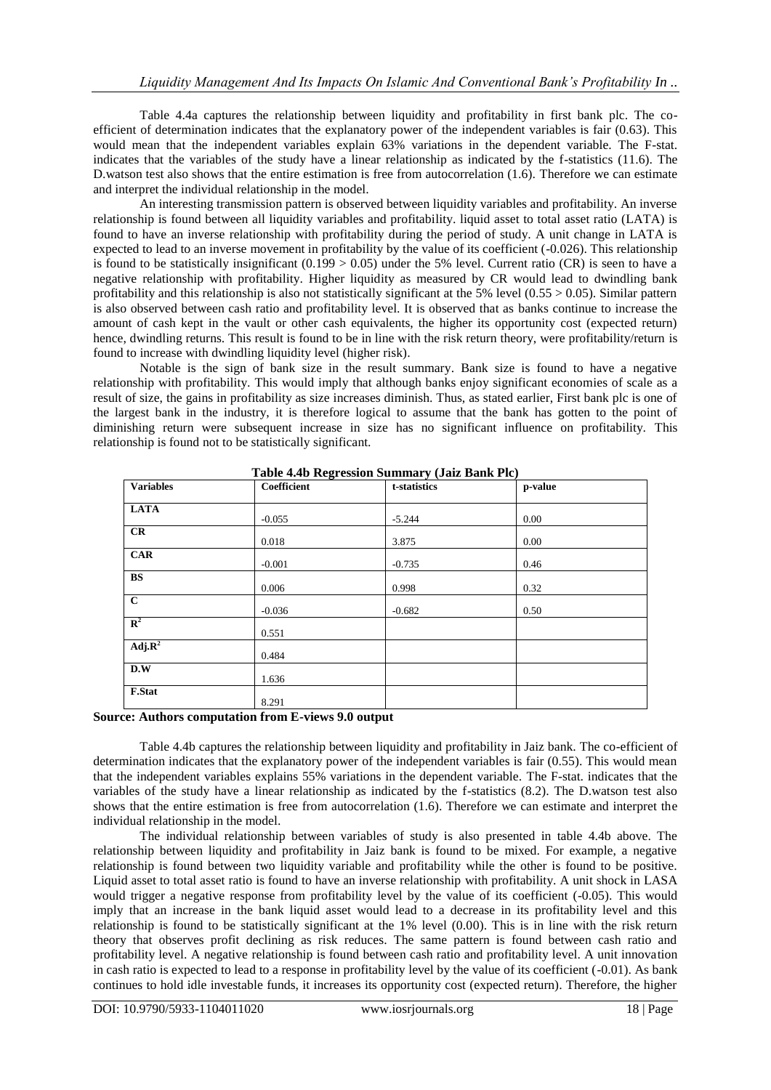Table 4.4a captures the relationship between liquidity and profitability in first bank plc. The coefficient of determination indicates that the explanatory power of the independent variables is fair (0.63). This would mean that the independent variables explain 63% variations in the dependent variable. The F-stat. indicates that the variables of the study have a linear relationship as indicated by the f-statistics (11.6). The D.watson test also shows that the entire estimation is free from autocorrelation (1.6). Therefore we can estimate and interpret the individual relationship in the model.

An interesting transmission pattern is observed between liquidity variables and profitability. An inverse relationship is found between all liquidity variables and profitability. liquid asset to total asset ratio (LATA) is found to have an inverse relationship with profitability during the period of study. A unit change in LATA is expected to lead to an inverse movement in profitability by the value of its coefficient (-0.026). This relationship is found to be statistically insignificant  $(0.199 > 0.05)$  under the 5% level. Current ratio (CR) is seen to have a negative relationship with profitability. Higher liquidity as measured by CR would lead to dwindling bank profitability and this relationship is also not statistically significant at the 5% level ( $0.55 > 0.05$ ). Similar pattern is also observed between cash ratio and profitability level. It is observed that as banks continue to increase the amount of cash kept in the vault or other cash equivalents, the higher its opportunity cost (expected return) hence, dwindling returns. This result is found to be in line with the risk return theory, were profitability/return is found to increase with dwindling liquidity level (higher risk).

Notable is the sign of bank size in the result summary. Bank size is found to have a negative relationship with profitability. This would imply that although banks enjoy significant economies of scale as a result of size, the gains in profitability as size increases diminish. Thus, as stated earlier, First bank plc is one of the largest bank in the industry, it is therefore logical to assume that the bank has gotten to the point of diminishing return were subsequent increase in size has no significant influence on profitability. This relationship is found not to be statistically significant.

|                  | Table 4.4b Regression Summary (Jaiz Bank Plc) |              |         |  |  |  |  |
|------------------|-----------------------------------------------|--------------|---------|--|--|--|--|
| <b>Variables</b> | <b>Coefficient</b>                            | t-statistics | p-value |  |  |  |  |
|                  |                                               |              |         |  |  |  |  |
| <b>LATA</b>      | $-0.055$                                      | $-5.244$     | 0.00    |  |  |  |  |
|                  |                                               |              |         |  |  |  |  |
| CR               | 0.018                                         | 3.875        | 0.00    |  |  |  |  |
| <b>CAR</b>       |                                               |              |         |  |  |  |  |
|                  | $-0.001$                                      | $-0.735$     | 0.46    |  |  |  |  |
| <b>BS</b>        |                                               |              |         |  |  |  |  |
|                  | 0.006                                         | 0.998        | 0.32    |  |  |  |  |
| $\mathbf{C}$     |                                               |              |         |  |  |  |  |
|                  | $-0.036$                                      | $-0.682$     | 0.50    |  |  |  |  |
| $\mathbb{R}^2$   |                                               |              |         |  |  |  |  |
|                  | 0.551                                         |              |         |  |  |  |  |
| $Adj.R^2$        |                                               |              |         |  |  |  |  |
|                  | 0.484                                         |              |         |  |  |  |  |
| D.W              |                                               |              |         |  |  |  |  |
|                  | 1.636                                         |              |         |  |  |  |  |
| <b>F.Stat</b>    |                                               |              |         |  |  |  |  |
|                  | 8.291                                         |              |         |  |  |  |  |

**Table 4.4b Regression Summary (Jaiz Bank Plc)**

#### **Source: Authors computation from E-views 9.0 output**

Table 4.4b captures the relationship between liquidity and profitability in Jaiz bank. The co-efficient of determination indicates that the explanatory power of the independent variables is fair (0.55). This would mean that the independent variables explains 55% variations in the dependent variable. The F-stat. indicates that the variables of the study have a linear relationship as indicated by the f-statistics (8.2). The D.watson test also shows that the entire estimation is free from autocorrelation (1.6). Therefore we can estimate and interpret the individual relationship in the model.

The individual relationship between variables of study is also presented in table 4.4b above. The relationship between liquidity and profitability in Jaiz bank is found to be mixed. For example, a negative relationship is found between two liquidity variable and profitability while the other is found to be positive. Liquid asset to total asset ratio is found to have an inverse relationship with profitability. A unit shock in LASA would trigger a negative response from profitability level by the value of its coefficient (-0.05). This would imply that an increase in the bank liquid asset would lead to a decrease in its profitability level and this relationship is found to be statistically significant at the 1% level (0.00). This is in line with the risk return theory that observes profit declining as risk reduces. The same pattern is found between cash ratio and profitability level. A negative relationship is found between cash ratio and profitability level. A unit innovation in cash ratio is expected to lead to a response in profitability level by the value of its coefficient (-0.01). As bank continues to hold idle investable funds, it increases its opportunity cost (expected return). Therefore, the higher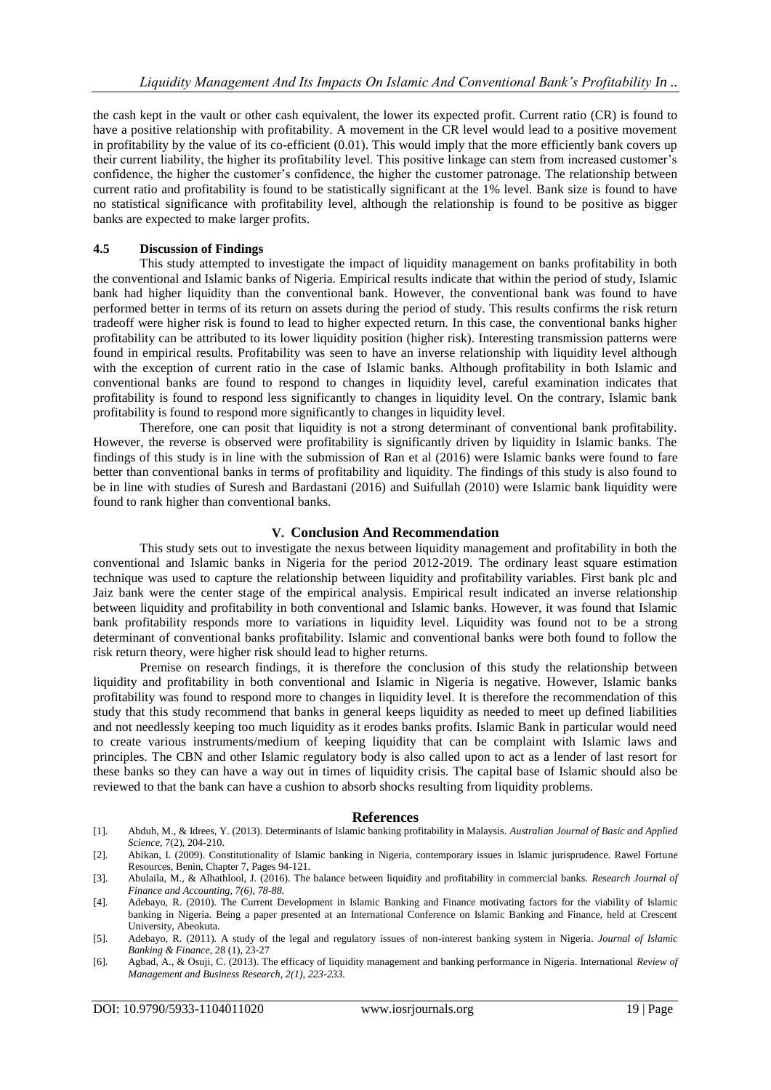the cash kept in the vault or other cash equivalent, the lower its expected profit. Current ratio (CR) is found to have a positive relationship with profitability. A movement in the CR level would lead to a positive movement in profitability by the value of its co-efficient (0.01). This would imply that the more efficiently bank covers up their current liability, the higher its profitability level. This positive linkage can stem from increased customer's confidence, the higher the customer's confidence, the higher the customer patronage. The relationship between current ratio and profitability is found to be statistically significant at the 1% level. Bank size is found to have no statistical significance with profitability level, although the relationship is found to be positive as bigger banks are expected to make larger profits.

#### **4.5 Discussion of Findings**

This study attempted to investigate the impact of liquidity management on banks profitability in both the conventional and Islamic banks of Nigeria. Empirical results indicate that within the period of study, Islamic bank had higher liquidity than the conventional bank. However, the conventional bank was found to have performed better in terms of its return on assets during the period of study. This results confirms the risk return tradeoff were higher risk is found to lead to higher expected return. In this case, the conventional banks higher profitability can be attributed to its lower liquidity position (higher risk). Interesting transmission patterns were found in empirical results. Profitability was seen to have an inverse relationship with liquidity level although with the exception of current ratio in the case of Islamic banks. Although profitability in both Islamic and conventional banks are found to respond to changes in liquidity level, careful examination indicates that profitability is found to respond less significantly to changes in liquidity level. On the contrary, Islamic bank profitability is found to respond more significantly to changes in liquidity level.

Therefore, one can posit that liquidity is not a strong determinant of conventional bank profitability. However, the reverse is observed were profitability is significantly driven by liquidity in Islamic banks. The findings of this study is in line with the submission of Ran et al (2016) were Islamic banks were found to fare better than conventional banks in terms of profitability and liquidity. The findings of this study is also found to be in line with studies of Suresh and Bardastani (2016) and Suifullah (2010) were Islamic bank liquidity were found to rank higher than conventional banks.

#### **V. Conclusion And Recommendation**

This study sets out to investigate the nexus between liquidity management and profitability in both the conventional and Islamic banks in Nigeria for the period 2012-2019. The ordinary least square estimation technique was used to capture the relationship between liquidity and profitability variables. First bank plc and Jaiz bank were the center stage of the empirical analysis. Empirical result indicated an inverse relationship between liquidity and profitability in both conventional and Islamic banks. However, it was found that Islamic bank profitability responds more to variations in liquidity level. Liquidity was found not to be a strong determinant of conventional banks profitability. Islamic and conventional banks were both found to follow the risk return theory, were higher risk should lead to higher returns.

Premise on research findings, it is therefore the conclusion of this study the relationship between liquidity and profitability in both conventional and Islamic in Nigeria is negative. However, Islamic banks profitability was found to respond more to changes in liquidity level. It is therefore the recommendation of this study that this study recommend that banks in general keeps liquidity as needed to meet up defined liabilities and not needlessly keeping too much liquidity as it erodes banks profits. Islamic Bank in particular would need to create various instruments/medium of keeping liquidity that can be complaint with Islamic laws and principles. The CBN and other Islamic regulatory body is also called upon to act as a lender of last resort for these banks so they can have a way out in times of liquidity crisis. The capital base of Islamic should also be reviewed to that the bank can have a cushion to absorb shocks resulting from liquidity problems.

#### **References**

- [1]. Abduh, M., & Idrees, Y. (2013). Determinants of Islamic banking profitability in Malaysis. *Australian Journal of Basic and Applied Science,* 7(2), 204-210.
- [2]. Abikan, I. (2009). Constitutionality of Islamic banking in Nigeria, contemporary issues in Islamic jurisprudence. Rawel Fortune Resources, Benin, Chapter 7, Pages 94-121.
- [3]. Abulaila, M., & Alhathlool, J. (2016). The balance between liquidity and profitability in commercial banks. *Research Journal of Finance and Accounting, 7(6), 78-88.*
- [4]. Adebayo, R. (2010). The Current Development in Islamic Banking and Finance motivating factors for the viability of Islamic banking in Nigeria. Being a paper presented at an International Conference on Islamic Banking and Finance, held at Crescent University, Abeokuta.
- [5]. Adebayo, R. (2011). A study of the legal and regulatory issues of non-interest banking system in Nigeria. *Journal of Islamic Banking & Finance*, 28 (1), 23-27
- [6]. Agbad, A., & Osuji, C. (2013). The efficacy of liquidity management and banking performance in Nigeria. International *Review of Management and Business Research, 2(1), 223-233.*